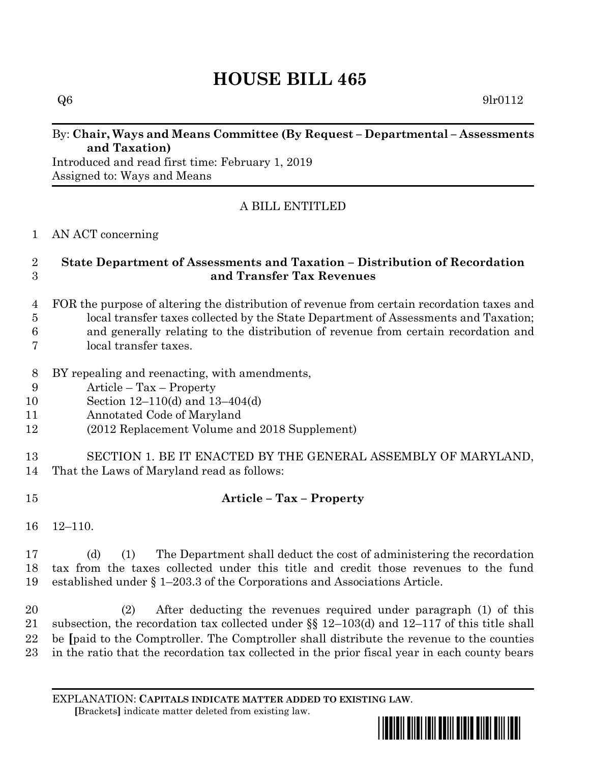# **HOUSE BILL 465**

#### By: **Chair, Ways and Means Committee (By Request – Departmental – Assessments and Taxation)**

Introduced and read first time: February 1, 2019 Assigned to: Ways and Means

## A BILL ENTITLED

AN ACT concerning

#### **State Department of Assessments and Taxation – Distribution of Recordation and Transfer Tax Revenues**

- FOR the purpose of altering the distribution of revenue from certain recordation taxes and local transfer taxes collected by the State Department of Assessments and Taxation;
- and generally relating to the distribution of revenue from certain recordation and
- local transfer taxes.
- BY repealing and reenacting, with amendments,
- Article Tax Property
- Section 12–110(d) and 13–404(d)
- Annotated Code of Maryland
- (2012 Replacement Volume and 2018 Supplement)

### SECTION 1. BE IT ENACTED BY THE GENERAL ASSEMBLY OF MARYLAND, That the Laws of Maryland read as follows:

## **Article – Tax – Property**

12–110.

 (d) (1) The Department shall deduct the cost of administering the recordation tax from the taxes collected under this title and credit those revenues to the fund established under § 1–203.3 of the Corporations and Associations Article.

 (2) After deducting the revenues required under paragraph (1) of this subsection, the recordation tax collected under §§ 12–103(d) and 12–117 of this title shall be **[**paid to the Comptroller. The Comptroller shall distribute the revenue to the counties in the ratio that the recordation tax collected in the prior fiscal year in each county bears

EXPLANATION: **CAPITALS INDICATE MATTER ADDED TO EXISTING LAW**.  **[**Brackets**]** indicate matter deleted from existing law.